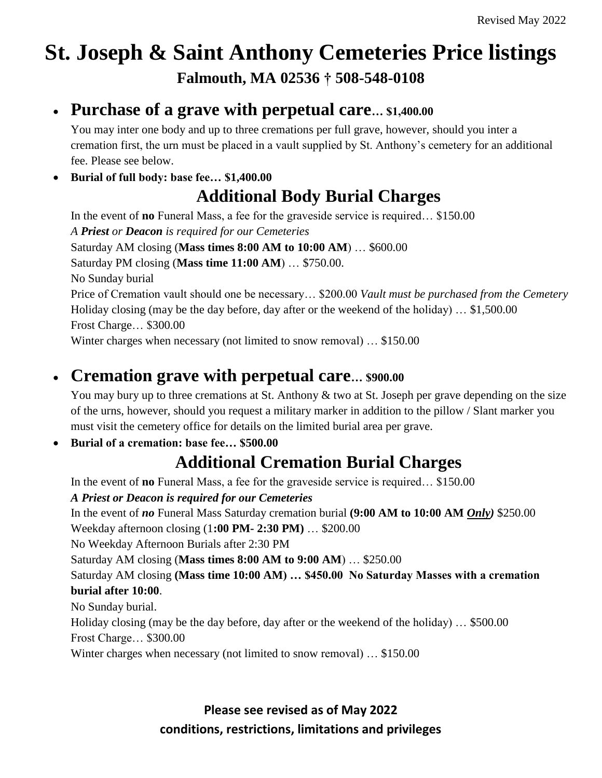# **St. Joseph & Saint Anthony Cemeteries Price listings Falmouth, MA 02536 † 508-548-0108**

#### **Purchase of a grave with perpetual care… \$1,400.00**

You may inter one body and up to three cremations per full grave, however, should you inter a cremation first, the urn must be placed in a vault supplied by St. Anthony's cemetery for an additional fee. Please see below.

**Burial of full body: base fee… \$1,400.00**

### **Additional Body Burial Charges**

In the event of **no** Funeral Mass, a fee for the graveside service is required… \$150.00 *A Priest or Deacon is required for our Cemeteries* Saturday AM closing (**Mass times 8:00 AM to 10:00 AM**) … \$600.00 Saturday PM closing (**Mass time 11:00 AM**) … \$750.00. No Sunday burial Price of Cremation vault should one be necessary… \$200.00 *Vault must be purchased from the Cemetery* Holiday closing (may be the day before, day after or the weekend of the holiday) … \$1,500.00 Frost Charge… \$300.00 Winter charges when necessary (not limited to snow removal) … \$150.00

### **Cremation grave with perpetual care… \$900.00**

You may bury up to three cremations at St. Anthony & two at St. Joseph per grave depending on the size of the urns, however, should you request a military marker in addition to the pillow / Slant marker you must visit the cemetery office for details on the limited burial area per grave.

#### **Burial of a cremation: base fee… \$500.00**

### **Additional Cremation Burial Charges**

In the event of **no** Funeral Mass, a fee for the graveside service is required… \$150.00

#### *A Priest or Deacon is required for our Cemeteries*

In the event of *no* Funeral Mass Saturday cremation burial **(9:00 AM to 10:00 AM** *Only)* \$250.00

Weekday afternoon closing (1**:00 PM- 2:30 PM)** … \$200.00

No Weekday Afternoon Burials after 2:30 PM

Saturday AM closing (**Mass times 8:00 AM to 9:00 AM**) … \$250.00

Saturday AM closing **(Mass time 10:00 AM) … \$450.00 No Saturday Masses with a cremation burial after 10:00**.

No Sunday burial.

Holiday closing (may be the day before, day after or the weekend of the holiday) … \$500.00 Frost Charge… \$300.00

Winter charges when necessary (not limited to snow removal) … \$150.00

## **Please see revised as of May 2022**

#### **conditions, restrictions, limitations and privileges**